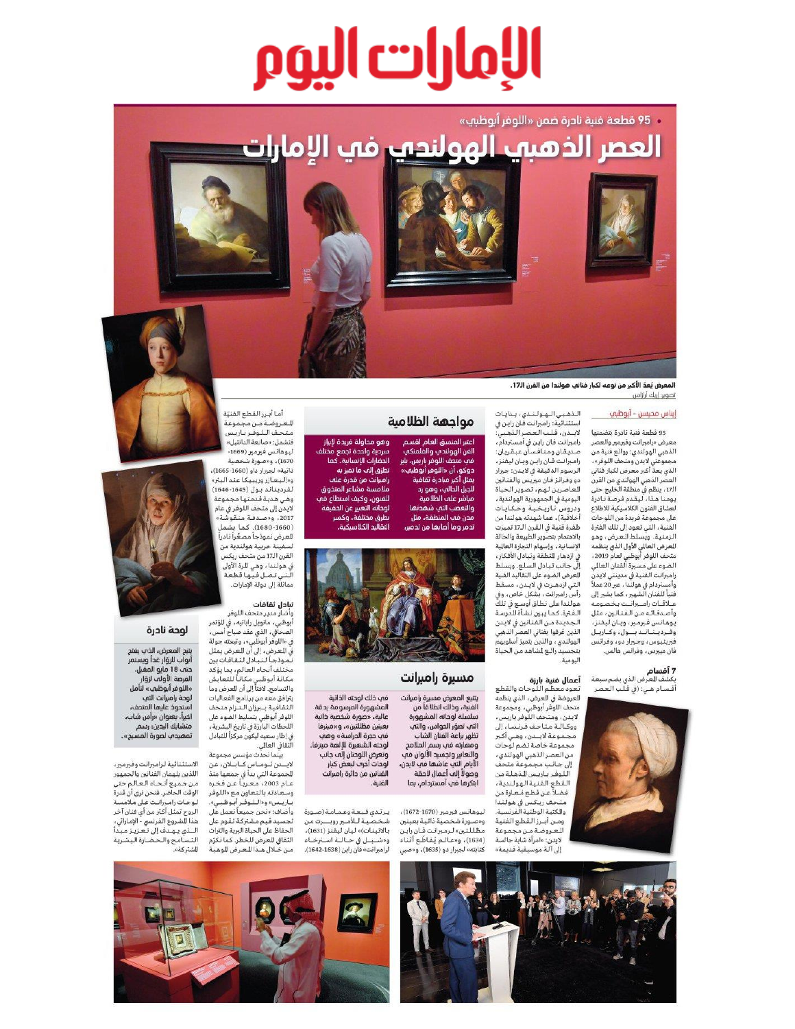# الإمارات اليوم

· 95 قطعة فنية نادرة ضمن «اللوفر أبوظبي»





وهو محاولة فريدة لإبرا<mark>ز</mark>

سردية واحدة تجمع مخت<br>الحضارات الإنسانية. كما

نطرَق إله ما تميز به

رامبرانت من قدرة علف

.<br>لوحاته التعبير عن الحقيا

لتقاليد الكلاسيكية.

بطرق مختلفة،

ملامسة مشاعر المتذوق

.<br>لفنون، وكيف استطاع فف

المعرض بُعدُ الأكبر من نوعه لكبار فنانب هولندا من القرن الـ17. تصوير: إريك أرازاس

### إيناس محيسن - أبوظبي

95 قطعة فنية نادرة يتضمنها معرض «رامبرانت وفيرمبر والعصر الذهبي الهولندي: روائع فنية من مجموعتى لايدن ومتحف اللوفر»، الذي يعدّ أكبر معرض لكبار فناني العصر الذهبي الهولندي من القرن .<br>-<br>الـ17، ينظم في منطقة الخليج حتى<br>- يومنا هـذا، ليـقدم فـرصـة نـادرة .<br>لعشاق الفنون الكلاسيكية للاطلاع على مجموعة فريدة من اللوحات الفنية، الني تعود إلى تلك الفترة .<br>الزمنية. ويسلط العرض، وهو .<br>العرض العالى الأول الذي ينظمه متحف اللوفر أبوظبي لعام 2019، الضوء على مسيرة الفنان العالي رامبرانت الفنية في مدينتي لايدن وأمستردام في هولندا ، عبر 20 عملاً .<br>فنياً للفنان الشهير ، كما يشير إلى عللاقتات رامتيرانيت يخصومه وأصدقائه من الفنانين ، مثل يوهانس فيرمير، ويان ليفنز، وفىرديـنــانــد بـــول ، وكــاريـل .<br>فبریتیوس ، وجـیرار دو ، وفرانس فان مييرس، وفرانس هالس.

**7 أقسام**<br>بكشف للعرض الذي يضم سبعة أقسام هي: (في قلَّب العصر



الـذهـبـي الـهـولـنـدي ، بـدايـات<br>استثنائية: رامبرانت فـان رايـن في لايندن، قلب العصر الذهبي: رامبرانت فان راين في أمستردام، صديقان ومنافسآن عبقريان: رامبرانت فـان رايـن ويـان ليفنز، ...<br>الرسوم الدقيقة في لايدن: جبرار دو وفرانز فان ميريس والفنانين التعاصرين لهم، تصوير الحياة<br>التعاصرين لهم، تصوير الحياة<br>اليومية في الجمهورية الهولندية، ودروس تاريخية وحكايات أخلاقية)، عما شهدته هولندا من طفرة فنية في القرن الـ17 تميزت بالاهتمام بتصوير الطبيعة والحالة .<br>الإنسانية ، وإسهام التجارة العالية في ازدهار التطقة وتبادل الأفكار، إلَّى جانب تبادل السلع. ويسلط العرض الضوء على التقاليد الفنية سترين . \_\_\_\_\_\_\_\_\_<br>التي ازدهـرت في لايـدن، مسقط<br>رأس رامبرانت، بشكلٍ خاص، وفي هولندا على نطاق أوسع في تلكّ سوسد --ى ---ى وسع ي<br>الـفـترة. كـمـا يبـين نـشـأة الـدرسـة<br>الـجـديـدة مـن الـفـنـانـين في لايـدن الذين عُرفوا بفناني العصر الذهبي الهولندي ، والذين يتميز أسلوبهم بتجسيد رائـع لشاهد من الحياة اليومية.

**أعمال فنية بارزة**<br>تعود معظم اللوحات والقطع .<br>العروضة في العرض، الذي ينظمه متحف اللوفر أبوظبى، ومجموعة .<br>لايدن، ومتحف اللوفر باريس، ووكـالـة متاحف فرنسا، إلى محموعة لايندن وهي أكح .<br>مجموعة خاصة تضم لوحات من العصر الذهبي الهولندي، إلى جانب مجموعة متحف اللوفر باريس للذهلة من القطع الفنية الهولندية، فضلاً عن قطع مُعارة من متحـق ريـكـس في هـولـنـدا<br>والكتيـة الوطنية الفرنسية. .<br>ومان أبنرز التقطع الفنية البعروضة من مجموعة لايدن: «امرأة شابة جالسة ال آلة موسيقية قديمة»

ليوهانس فبرمبر (1670-1672)، .<br>و«صـورة شخصية ذاتيـة بعينين .<br>ظللتين» لرمبرانت فـان رايـن

سلسلة لوحاته المشهورة التب تصوّر الحواس، والتب .<br>تظهر براعة الغنان الشاب ومهارته فب رسم الملامح والتعابير وتجسيد الألوان فب الأيام التب عاشما فب لايدن،<br>الأيام التب عاشما فب لايدن، ابتكرها في أمستردام، بما

مسيرة رامبرانت

مواجهة الظلامية

أعتبر المنسق العام لقسم

الفن الهولندف والفلمنكف<br>فف متحف اللوفر باريس، بليز<br>دوكو، أن «اللوفر أبوظبف»

والتعصب التب شهدتها

مدن في المنطقة، مثل

.<br>ندمر وما <u>أصابها من تدم</u>

(1634)، و«عالم يُقاطَع أثناء کتابته» لجبرار دو (1635)، و«صبي

الفنية، وذلك انطلاقاً من

فب ذلك لوحته الذاتية يتنبع المعرض مسبرة راميرانت المشهورة المرسومة بدقة عالية، «صورة شخصية ذاتية بعينين مظللتين»، و«مينرفا في حجرة الدراسة» وهب لوحته الشهيرة للإلهة مينرفا. وتعرض اللوحتان إلم جانب لوحات أخرف لبعض كبار الغنانين من دائرة رامبرانت الفنية.

مسار مدير متحف اللوفر<br>وأشار مدير متحف اللوفر<br>أبوظبي، مانويل راباتيه، في الؤتمر الصحافي، الذي عقد صباح أمس، في «اللوفر أبوظبي» ، وتبعته جولة<br>في الـعـرض ، إلى أن الـعـرض يمثل<br>في الـعـرض ، إلى أن الـعـرض يمثل .<br>مختلف أنحاء العالم، بما يؤكد مستعدد معاملية بنا بوت<br>مكانة أبوظبي مكاناً للتعايش<br>والتسامح. لافتاً إلى أن للعرض وما .<br>يترافق معه من برنامج الفعاليات

.<br>أما أب : القطع الفنتة

للعروضة من مجموعة .<br>متحف الـلـوفـر بـاريـس

فتشمل: «صانعة الدانتيل»

ليوهانس فيرمير (1669-

1670)، و«صورة شخصية

.<br>ذاتية» لجبرار داو (1660-1665)،

و«إليعازر وريبيكا عند البئر

لفرديناند بول (1645-1646) وهي هدية قدمتها مجموعة

.<br>لايدن إلى متحف اللوفر في عام

2017، و«صـدفـة منقوشة»

(1680-1660) كما يشما

العرض نموذجأ مصغّراً نادراً

لسفينة حربية هولندية من القرن الـ17 من متحف ريكس

في هولندا، وهي للرة الأولى

التى تصل فيها قطعة

.<br>مماثلة إلى دولة الإمارات.

تبادل ثقافات

الثقافية يبرزان التنزام متحف اللوفر أبوظبي بتسليط الضوء على اللحظات البارزة في تاريخ البشرية، في إطار سعيه ليكون مركزاً للتبادل .<br>الثقافي العالي. َ بِيَنْمَا تَحدَّثَ مؤسس مجموعة لايـــدن تــومــاس كــابــلان، عـن

الجموعة التي بدأ في جمعها منذ<br>عـام 2003، مـعـربـاً عـن فـخـره وسعادته بالتعاون مع «اللوفر .<br>يـاريـس» و«الــلـوفــر أيـوظـيـي».<br>وأضاف: «نحن جميعاً نعمل على ۔<br>تجسید قیم مشترکۃ تقوم علی الحفاظ على الحياة البرية والتراث الثقافي للعرض للخطر. كما نكرّم مـن خـلال هـذا للـعـرض للوهبـة

### لوحة نادرة

يتيح المعرض، الذب يفتح<br>أبواب للزؤار غداً ويستمر حته 18 مايو المقبل، ست = تالونس<br>الفرصة الأولف لزوّار<br>«اللوفر أبوظبي» لتأمل لوحة راميرانت التف استحوذ عليها المتحف، اخيراً، بعنوان «رأس شاب، متشابك اليدين: رسم<br>تمهيد ي لصورة المسيح».

الاستئنائية لراميرانت وفيرمير، اللذين يلهمان الفنانين والجمهور من جميع أنحاء العالم حثى .<br>الوقت الحاضر. فنحن نرى أن قدرة للوحات راميرانت على ملامسة الروح تمثل أكثر من أي فنان آخر<br>هذا للشروع الفرنسي - الإماراني،<br>الـــذي يـهــدف إلى تـعــزيــز مـيـدأ التسامح والحضارة البشرية الشتركة».





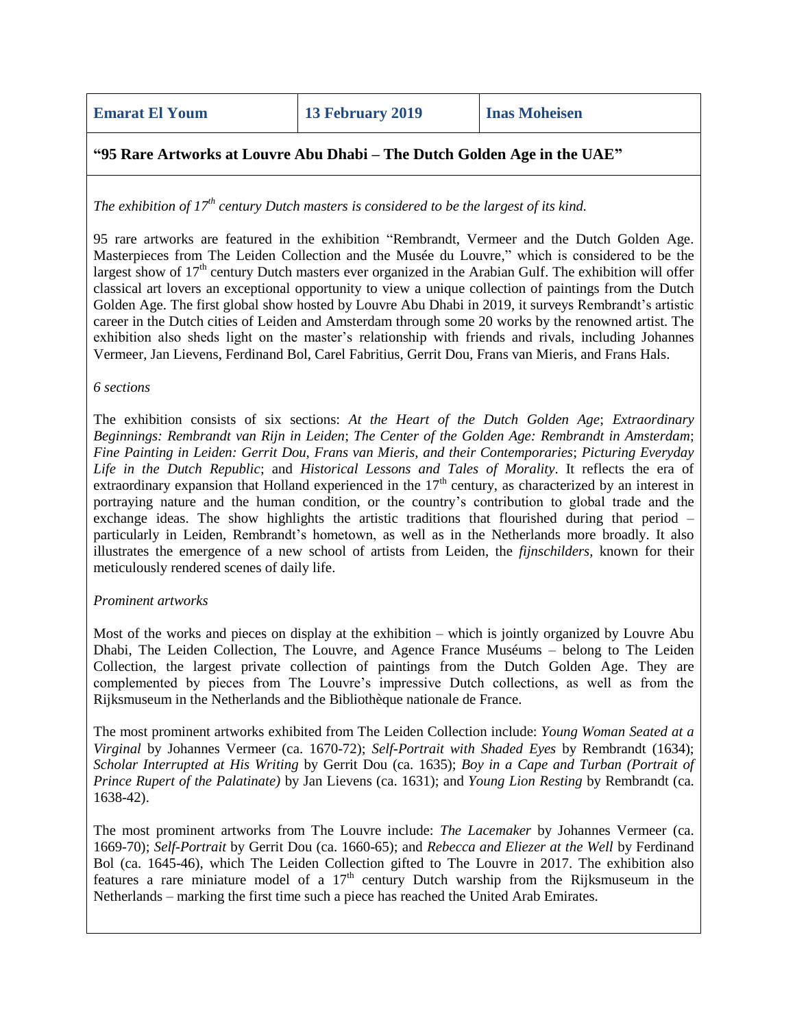**Emarat El Youm 13 February 2019 Inas Moheisen**

# **"95 Rare Artworks at Louvre Abu Dhabi – The Dutch Golden Age in the UAE"**

*The exhibition of 17th century Dutch masters is considered to be the largest of its kind.*

95 rare artworks are featured in the exhibition "Rembrandt, Vermeer and the Dutch Golden Age. Masterpieces from The Leiden Collection and the Musée du Louvre," which is considered to be the largest show of 17<sup>th</sup> century Dutch masters ever organized in the Arabian Gulf. The exhibition will offer classical art lovers an exceptional opportunity to view a unique collection of paintings from the Dutch Golden Age. The first global show hosted by Louvre Abu Dhabi in 2019, it surveys Rembrandt's artistic career in the Dutch cities of Leiden and Amsterdam through some 20 works by the renowned artist. The exhibition also sheds light on the master's relationship with friends and rivals, including Johannes Vermeer, Jan Lievens, Ferdinand Bol, Carel Fabritius, Gerrit Dou, Frans van Mieris, and Frans Hals.

### *6 sections*

The exhibition consists of six sections: *At the Heart of the Dutch Golden Age*; *Extraordinary Beginnings: Rembrandt van Rijn in Leiden*; *The Center of the Golden Age: Rembrandt in Amsterdam*; *Fine Painting in Leiden: Gerrit Dou, Frans van Mieris, and their Contemporaries*; *Picturing Everyday Life in the Dutch Republic*; and *Historical Lessons and Tales of Morality*. It reflects the era of extraordinary expansion that Holland experienced in the  $17<sup>th</sup>$  century, as characterized by an interest in portraying nature and the human condition, or the country's contribution to global trade and the exchange ideas. The show highlights the artistic traditions that flourished during that period – particularly in Leiden, Rembrandt's hometown, as well as in the Netherlands more broadly. It also illustrates the emergence of a new school of artists from Leiden, the *fijnschilders*, known for their meticulously rendered scenes of daily life.

## *Prominent artworks*

Most of the works and pieces on display at the exhibition – which is jointly organized by Louvre Abu Dhabi, The Leiden Collection, The Louvre, and Agence France Muséums – belong to The Leiden Collection, the largest private collection of paintings from the Dutch Golden Age. They are complemented by pieces from The Louvre's impressive Dutch collections, as well as from the Rijksmuseum in the Netherlands and the Bibliothèque nationale de France.

The most prominent artworks exhibited from The Leiden Collection include: *Young Woman Seated at a Virginal* by Johannes Vermeer (ca. 1670-72); *Self-Portrait with Shaded Eyes* by Rembrandt (1634); *Scholar Interrupted at His Writing* by Gerrit Dou (ca. 1635); *Boy in a Cape and Turban (Portrait of Prince Rupert of the Palatinate)* by Jan Lievens (ca. 1631); and *Young Lion Resting* by Rembrandt (ca. 1638-42).

The most prominent artworks from The Louvre include: *The Lacemaker* by Johannes Vermeer (ca. 1669-70); *Self-Portrait* by Gerrit Dou (ca. 1660-65); and *Rebecca and Eliezer at the Well* by Ferdinand Bol (ca. 1645-46), which The Leiden Collection gifted to The Louvre in 2017. The exhibition also features a rare miniature model of a  $17<sup>th</sup>$  century Dutch warship from the Rijksmuseum in the Netherlands – marking the first time such a piece has reached the United Arab Emirates.